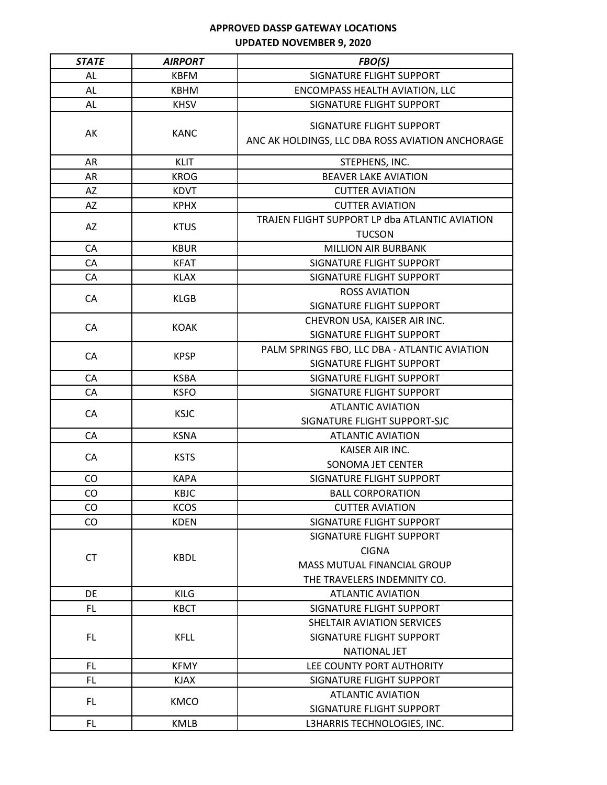| <b>STATE</b> | <b>AIRPORT</b> | FBO(S)                                                                                                        |
|--------------|----------------|---------------------------------------------------------------------------------------------------------------|
| AL           | <b>KBFM</b>    | SIGNATURE FLIGHT SUPPORT                                                                                      |
| AL           | <b>KBHM</b>    | ENCOMPASS HEALTH AVIATION, LLC                                                                                |
| AL           | <b>KHSV</b>    | SIGNATURE FLIGHT SUPPORT                                                                                      |
| AK           | <b>KANC</b>    | SIGNATURE FLIGHT SUPPORT<br>ANC AK HOLDINGS, LLC DBA ROSS AVIATION ANCHORAGE                                  |
| AR           | <b>KLIT</b>    | STEPHENS, INC.                                                                                                |
| AR           | <b>KROG</b>    | <b>BEAVER LAKE AVIATION</b>                                                                                   |
| AZ           | <b>KDVT</b>    | <b>CUTTER AVIATION</b>                                                                                        |
| AZ           | <b>KPHX</b>    | <b>CUTTER AVIATION</b>                                                                                        |
| AZ           | <b>KTUS</b>    | TRAJEN FLIGHT SUPPORT LP dba ATLANTIC AVIATION<br><b>TUCSON</b>                                               |
| CA           | <b>KBUR</b>    | <b>MILLION AIR BURBANK</b>                                                                                    |
| CA           | <b>KFAT</b>    | SIGNATURE FLIGHT SUPPORT                                                                                      |
| CA           | <b>KLAX</b>    | SIGNATURE FLIGHT SUPPORT                                                                                      |
| CA           | <b>KLGB</b>    | <b>ROSS AVIATION</b><br>SIGNATURE FLIGHT SUPPORT                                                              |
| CA           | <b>KOAK</b>    | CHEVRON USA, KAISER AIR INC.<br>SIGNATURE FLIGHT SUPPORT                                                      |
| CA           | <b>KPSP</b>    | PALM SPRINGS FBO, LLC DBA - ATLANTIC AVIATION<br>SIGNATURE FLIGHT SUPPORT                                     |
| CA           | <b>KSBA</b>    | SIGNATURE FLIGHT SUPPORT                                                                                      |
| CA           | <b>KSFO</b>    | SIGNATURE FLIGHT SUPPORT                                                                                      |
|              |                | <b>ATLANTIC AVIATION</b>                                                                                      |
| CA           | <b>KSJC</b>    | SIGNATURE FLIGHT SUPPORT-SJC                                                                                  |
| CA           | <b>KSNA</b>    | <b>ATLANTIC AVIATION</b>                                                                                      |
| CA           | <b>KSTS</b>    | KAISER AIR INC.<br>SONOMA JET CENTER                                                                          |
| CO           | <b>KAPA</b>    | SIGNATURE FLIGHT SUPPORT                                                                                      |
| CO           | <b>KBJC</b>    | <b>BALL CORPORATION</b>                                                                                       |
| CO           | <b>KCOS</b>    | <b>CUTTER AVIATION</b>                                                                                        |
| CO           | <b>KDEN</b>    | SIGNATURE FLIGHT SUPPORT                                                                                      |
| <b>CT</b>    | <b>KBDL</b>    | SIGNATURE FLIGHT SUPPORT<br><b>CIGNA</b><br><b>MASS MUTUAL FINANCIAL GROUP</b><br>THE TRAVELERS INDEMNITY CO. |
| <b>DE</b>    | <b>KILG</b>    | <b>ATLANTIC AVIATION</b>                                                                                      |
| FL           | <b>KBCT</b>    | SIGNATURE FLIGHT SUPPORT                                                                                      |
| FL.          | <b>KFLL</b>    | SHELTAIR AVIATION SERVICES<br>SIGNATURE FLIGHT SUPPORT<br>NATIONAL JET                                        |
| <b>FL</b>    | <b>KFMY</b>    | LEE COUNTY PORT AUTHORITY                                                                                     |
| FL.          | <b>KJAX</b>    | SIGNATURE FLIGHT SUPPORT                                                                                      |
| FL.          | <b>KMCO</b>    | <b>ATLANTIC AVIATION</b><br>SIGNATURE FLIGHT SUPPORT                                                          |
| FL.          | <b>KMLB</b>    | L3HARRIS TECHNOLOGIES, INC.                                                                                   |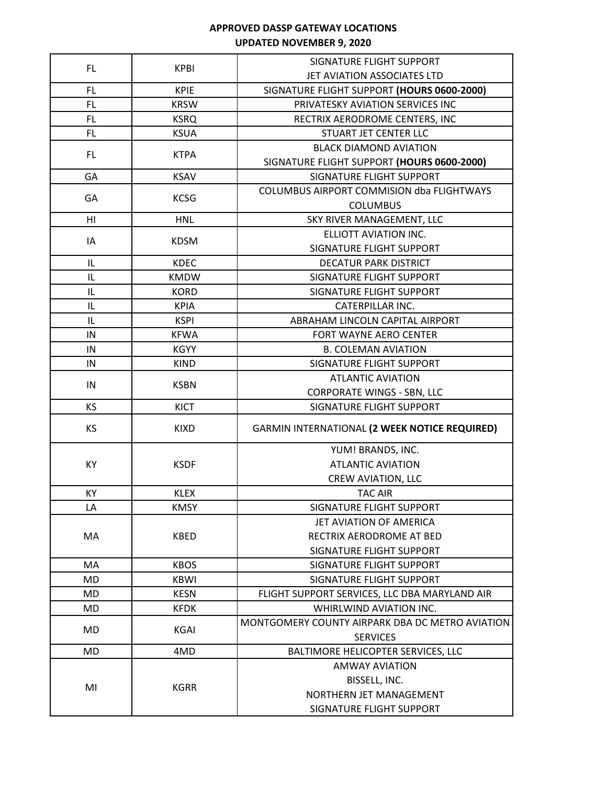| <b>FL</b> | <b>KPBI</b> | SIGNATURE FLIGHT SUPPORT                                           |
|-----------|-------------|--------------------------------------------------------------------|
|           |             | JET AVIATION ASSOCIATES LTD                                        |
| FL        | <b>KPIE</b> | SIGNATURE FLIGHT SUPPORT (HOURS 0600-2000)                         |
| FL.       | <b>KRSW</b> | PRIVATESKY AVIATION SERVICES INC                                   |
| <b>FL</b> | <b>KSRQ</b> | RECTRIX AERODROME CENTERS, INC                                     |
| FL.       | <b>KSUA</b> | STUART JET CENTER LLC                                              |
| FL.       | <b>KTPA</b> | <b>BLACK DIAMOND AVIATION</b>                                      |
|           |             | SIGNATURE FLIGHT SUPPORT (HOURS 0600-2000)                         |
| GA        | <b>KSAV</b> | SIGNATURE FLIGHT SUPPORT                                           |
| GA        | <b>KCSG</b> | <b>COLUMBUS AIRPORT COMMISION dba FLIGHTWAYS</b>                   |
|           |             | <b>COLUMBUS</b>                                                    |
| H1        | <b>HNL</b>  | SKY RIVER MANAGEMENT, LLC                                          |
| IA        | <b>KDSM</b> | ELLIOTT AVIATION INC.                                              |
|           |             | SIGNATURE FLIGHT SUPPORT                                           |
| IL        | <b>KDEC</b> | <b>DECATUR PARK DISTRICT</b>                                       |
| IL        | <b>KMDW</b> | SIGNATURE FLIGHT SUPPORT                                           |
| IL        | <b>KORD</b> | SIGNATURE FLIGHT SUPPORT                                           |
| IL        | <b>KPIA</b> | <b>CATERPILLAR INC.</b>                                            |
| IL        | <b>KSPI</b> | ABRAHAM LINCOLN CAPITAL AIRPORT                                    |
| IN        | <b>KFWA</b> | FORT WAYNE AERO CENTER                                             |
| IN        | <b>KGYY</b> | <b>B. COLEMAN AVIATION</b>                                         |
| IN        | <b>KIND</b> | SIGNATURE FLIGHT SUPPORT                                           |
| IN        | <b>KSBN</b> | <b>ATLANTIC AVIATION</b>                                           |
|           |             | <b>CORPORATE WINGS - SBN, LLC</b>                                  |
| <b>KS</b> | KICT        | SIGNATURE FLIGHT SUPPORT                                           |
| KS        | <b>KIXD</b> | GARMIN INTERNATIONAL (2 WEEK NOTICE REQUIRED)                      |
|           |             | YUM! BRANDS, INC.                                                  |
| KY        | <b>KSDF</b> | <b>ATLANTIC AVIATION</b>                                           |
|           |             | <b>CREW AVIATION, LLC</b>                                          |
| KY        | <b>KLEX</b> | <b>TAC AIR</b>                                                     |
| LA        | <b>KMSY</b> | SIGNATURE FLIGHT SUPPORT                                           |
|           | <b>KBED</b> | <b>JET AVIATION OF AMERICA</b>                                     |
| MA        |             | RECTRIX AERODROME AT BED                                           |
|           |             | SIGNATURE FLIGHT SUPPORT                                           |
| MA        | <b>KBOS</b> | SIGNATURE FLIGHT SUPPORT                                           |
| <b>MD</b> | <b>KBWI</b> | SIGNATURE FLIGHT SUPPORT                                           |
| MD        | <b>KESN</b> | FLIGHT SUPPORT SERVICES, LLC DBA MARYLAND AIR                      |
| MD        | <b>KFDK</b> | WHIRLWIND AVIATION INC.                                            |
| MD        | KGAI        | MONTGOMERY COUNTY AIRPARK DBA DC METRO AVIATION<br><b>SERVICES</b> |
| <b>MD</b> | 4MD         | BALTIMORE HELICOPTER SERVICES, LLC                                 |
|           | <b>KGRR</b> | <b>AMWAY AVIATION</b>                                              |
| MI        |             | BISSELL, INC.                                                      |
|           |             | NORTHERN JET MANAGEMENT                                            |
|           |             | SIGNATURE FLIGHT SUPPORT                                           |
|           |             |                                                                    |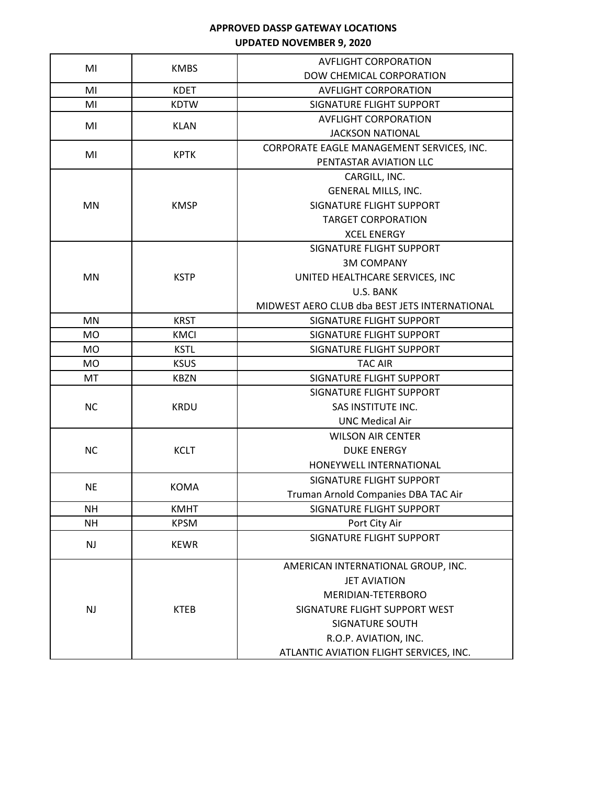| MI        | <b>KMBS</b> | <b>AVFLIGHT CORPORATION</b>                   |
|-----------|-------------|-----------------------------------------------|
|           |             | DOW CHEMICAL CORPORATION                      |
| MI        | <b>KDET</b> | <b>AVFLIGHT CORPORATION</b>                   |
| MI        | <b>KDTW</b> | SIGNATURE FLIGHT SUPPORT                      |
| MI        |             | <b>AVFLIGHT CORPORATION</b>                   |
|           | <b>KLAN</b> | <b>JACKSON NATIONAL</b>                       |
|           |             | CORPORATE EAGLE MANAGEMENT SERVICES, INC.     |
| MI        | <b>KPTK</b> | PENTASTAR AVIATION LLC                        |
|           |             | CARGILL, INC.                                 |
|           |             | GENERAL MILLS, INC.                           |
| MN        | <b>KMSP</b> | SIGNATURE FLIGHT SUPPORT                      |
|           |             | <b>TARGET CORPORATION</b>                     |
|           |             | <b>XCEL ENERGY</b>                            |
|           |             | SIGNATURE FLIGHT SUPPORT                      |
|           |             | <b>3M COMPANY</b>                             |
| MN        | <b>KSTP</b> | UNITED HEALTHCARE SERVICES, INC               |
|           |             | U.S. BANK                                     |
|           |             | MIDWEST AERO CLUB dba BEST JETS INTERNATIONAL |
| MN        | <b>KRST</b> | SIGNATURE FLIGHT SUPPORT                      |
| MO        | <b>KMCI</b> | SIGNATURE FLIGHT SUPPORT                      |
| MO        | <b>KSTL</b> | SIGNATURE FLIGHT SUPPORT                      |
| MO        | <b>KSUS</b> | <b>TAC AIR</b>                                |
| MT        | <b>KBZN</b> | SIGNATURE FLIGHT SUPPORT                      |
|           |             | SIGNATURE FLIGHT SUPPORT                      |
| <b>NC</b> | <b>KRDU</b> | SAS INSTITUTE INC.                            |
|           |             | <b>UNC Medical Air</b>                        |
|           |             | <b>WILSON AIR CENTER</b>                      |
| <b>NC</b> | <b>KCLT</b> | <b>DUKE ENERGY</b>                            |
|           |             | HONEYWELL INTERNATIONAL                       |
| <b>NE</b> | <b>KOMA</b> | SIGNATURE FLIGHT SUPPORT                      |
|           |             | Truman Arnold Companies DBA TAC Air           |
| NΗ        | <b>KMHT</b> | SIGNATURE FLIGHT SUPPORT                      |
| NΗ        | <b>KPSM</b> | Port City Air                                 |
| <b>NJ</b> | <b>KEWR</b> | <b>SIGNATURE FLIGHT SUPPORT</b>               |
|           |             |                                               |
| <b>NJ</b> | <b>KTEB</b> | AMERICAN INTERNATIONAL GROUP, INC.            |
|           |             | <b>JET AVIATION</b>                           |
|           |             | MERIDIAN-TETERBORO                            |
|           |             | SIGNATURE FLIGHT SUPPORT WEST                 |
|           |             | <b>SIGNATURE SOUTH</b>                        |
|           |             | R.O.P. AVIATION, INC.                         |
|           |             | ATLANTIC AVIATION FLIGHT SERVICES, INC.       |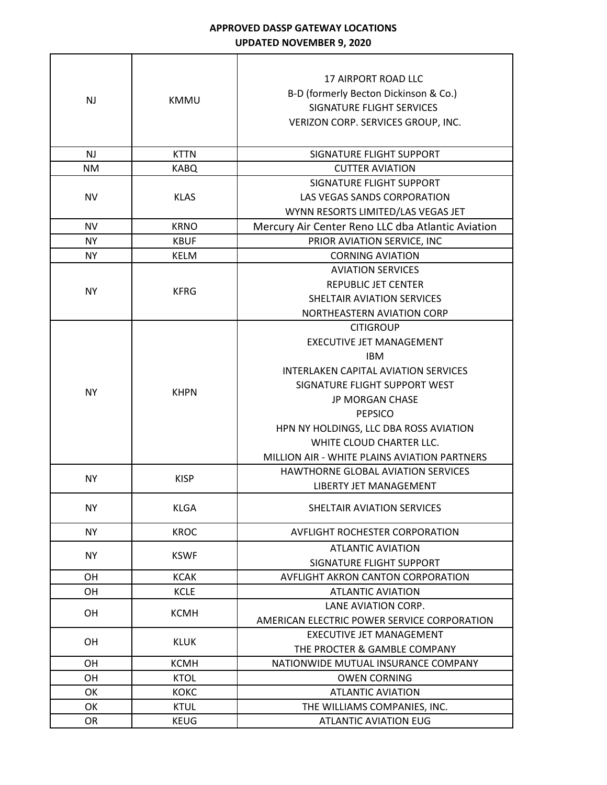$\Gamma$ 

┑

| <b>NJ</b> | <b>KMMU</b> | <b>17 AIRPORT ROAD LLC</b><br>B-D (formerly Becton Dickinson & Co.)<br>SIGNATURE FLIGHT SERVICES<br>VERIZON CORP. SERVICES GROUP, INC. |
|-----------|-------------|----------------------------------------------------------------------------------------------------------------------------------------|
| <b>NJ</b> | <b>KTTN</b> | SIGNATURE FLIGHT SUPPORT                                                                                                               |
| <b>NM</b> | <b>KABQ</b> | <b>CUTTER AVIATION</b>                                                                                                                 |
|           |             |                                                                                                                                        |
| <b>NV</b> | <b>KLAS</b> | SIGNATURE FLIGHT SUPPORT<br>LAS VEGAS SANDS CORPORATION                                                                                |
|           |             | WYNN RESORTS LIMITED/LAS VEGAS JET                                                                                                     |
| <b>NV</b> | <b>KRNO</b> | Mercury Air Center Reno LLC dba Atlantic Aviation                                                                                      |
| <b>NY</b> | <b>KBUF</b> | PRIOR AVIATION SERVICE, INC                                                                                                            |
| <b>NY</b> | <b>KELM</b> | <b>CORNING AVIATION</b>                                                                                                                |
|           |             | <b>AVIATION SERVICES</b>                                                                                                               |
|           |             | REPUBLIC JET CENTER                                                                                                                    |
| <b>NY</b> | <b>KFRG</b> | SHELTAIR AVIATION SERVICES                                                                                                             |
|           |             | NORTHEASTERN AVIATION CORP                                                                                                             |
|           |             | <b>CITIGROUP</b>                                                                                                                       |
|           |             | <b>EXECUTIVE JET MANAGEMENT</b>                                                                                                        |
|           |             | <b>IBM</b>                                                                                                                             |
|           |             | <b>INTERLAKEN CAPITAL AVIATION SERVICES</b>                                                                                            |
|           |             | SIGNATURE FLIGHT SUPPORT WEST                                                                                                          |
| <b>NY</b> | <b>KHPN</b> |                                                                                                                                        |
|           |             | <b>JP MORGAN CHASE</b>                                                                                                                 |
|           |             | <b>PEPSICO</b>                                                                                                                         |
|           |             | HPN NY HOLDINGS, LLC DBA ROSS AVIATION                                                                                                 |
|           |             | WHITE CLOUD CHARTER LLC.                                                                                                               |
|           |             | MILLION AIR - WHITE PLAINS AVIATION PARTNERS                                                                                           |
| <b>NY</b> | <b>KISP</b> | HAWTHORNE GLOBAL AVIATION SERVICES                                                                                                     |
|           |             | LIBERTY JET MANAGEMENT                                                                                                                 |
| <b>NY</b> | <b>KLGA</b> | SHELTAIR AVIATION SERVICES                                                                                                             |
| <b>NY</b> | <b>KROC</b> | <b>AVFLIGHT ROCHESTER CORPORATION</b>                                                                                                  |
| <b>NY</b> | <b>KSWF</b> | <b>ATLANTIC AVIATION</b>                                                                                                               |
|           |             | SIGNATURE FLIGHT SUPPORT                                                                                                               |
| <b>OH</b> | <b>KCAK</b> | AVFLIGHT AKRON CANTON CORPORATION                                                                                                      |
| OH        | <b>KCLE</b> | <b>ATLANTIC AVIATION</b>                                                                                                               |
| OH        | <b>KCMH</b> | LANE AVIATION CORP.                                                                                                                    |
|           |             | AMERICAN ELECTRIC POWER SERVICE CORPORATION                                                                                            |
| OH        | <b>KLUK</b> | EXECUTIVE JET MANAGEMENT                                                                                                               |
|           |             | THE PROCTER & GAMBLE COMPANY                                                                                                           |
| OH        | <b>KCMH</b> | NATIONWIDE MUTUAL INSURANCE COMPANY                                                                                                    |
| OН        | <b>KTOL</b> | <b>OWEN CORNING</b>                                                                                                                    |
| OK        | <b>KOKC</b> | <b>ATLANTIC AVIATION</b>                                                                                                               |
| OK        | <b>KTUL</b> | THE WILLIAMS COMPANIES, INC.                                                                                                           |
| <b>OR</b> | <b>KEUG</b> | ATLANTIC AVIATION EUG                                                                                                                  |
|           |             |                                                                                                                                        |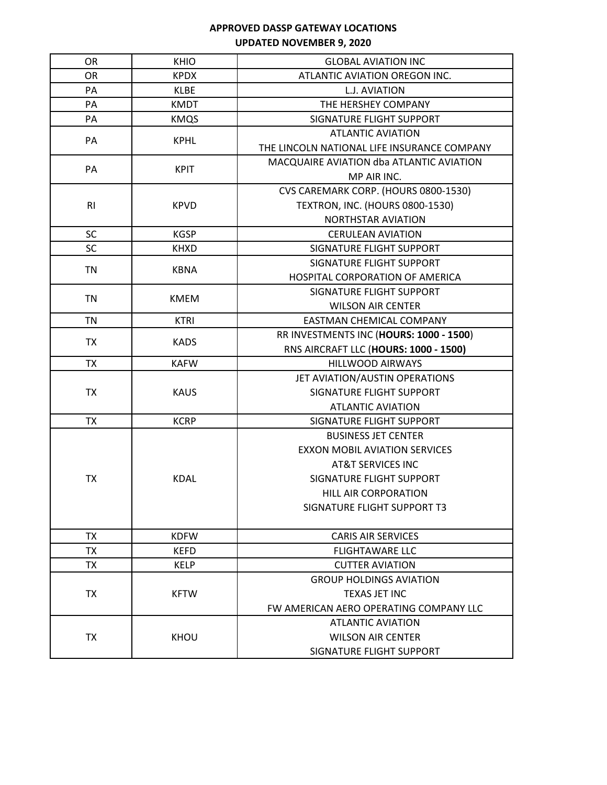| OR             | <b>KHIO</b> | <b>GLOBAL AVIATION INC</b>                  |
|----------------|-------------|---------------------------------------------|
| <b>OR</b>      | <b>KPDX</b> | ATLANTIC AVIATION OREGON INC.               |
| PA             | <b>KLBE</b> | L.J. AVIATION                               |
| PA             | <b>KMDT</b> | THE HERSHEY COMPANY                         |
| PA             | <b>KMQS</b> | SIGNATURE FLIGHT SUPPORT                    |
|                |             | <b>ATLANTIC AVIATION</b>                    |
| PA             | <b>KPHL</b> | THE LINCOLN NATIONAL LIFE INSURANCE COMPANY |
| PA             | <b>KPIT</b> | MACQUAIRE AVIATION dba ATLANTIC AVIATION    |
|                |             | MP AIR INC.                                 |
|                |             | CVS CAREMARK CORP. (HOURS 0800-1530)        |
| R <sub>l</sub> | <b>KPVD</b> | <b>TEXTRON, INC. (HOURS 0800-1530)</b>      |
|                |             | <b>NORTHSTAR AVIATION</b>                   |
| <b>SC</b>      | <b>KGSP</b> | <b>CERULEAN AVIATION</b>                    |
| <b>SC</b>      | <b>KHXD</b> | SIGNATURE FLIGHT SUPPORT                    |
|                |             | SIGNATURE FLIGHT SUPPORT                    |
| <b>TN</b>      | <b>KBNA</b> | HOSPITAL CORPORATION OF AMERICA             |
|                |             | SIGNATURE FLIGHT SUPPORT                    |
| <b>TN</b>      | <b>KMEM</b> | <b>WILSON AIR CENTER</b>                    |
| <b>TN</b>      | <b>KTRI</b> | EASTMAN CHEMICAL COMPANY                    |
|                |             | RR INVESTMENTS INC (HOURS: 1000 - 1500)     |
| <b>TX</b>      | <b>KADS</b> | RNS AIRCRAFT LLC (HOURS: 1000 - 1500)       |
| <b>TX</b>      | <b>KAFW</b> | <b>HILLWOOD AIRWAYS</b>                     |
|                |             | JET AVIATION/AUSTIN OPERATIONS              |
| <b>TX</b>      | <b>KAUS</b> | SIGNATURE FLIGHT SUPPORT                    |
|                |             | <b>ATLANTIC AVIATION</b>                    |
| <b>TX</b>      | <b>KCRP</b> | SIGNATURE FLIGHT SUPPORT                    |
|                |             | <b>BUSINESS JET CENTER</b>                  |
|                | <b>KDAL</b> | <b>EXXON MOBIL AVIATION SERVICES</b>        |
|                |             | AT&T SERVICES INC                           |
| <b>TX</b>      |             | SIGNATURE FLIGHT SUPPORT                    |
|                |             | <b>HILL AIR CORPORATION</b>                 |
|                |             | SIGNATURE FLIGHT SUPPORT T3                 |
|                |             |                                             |
| TX             | <b>KDFW</b> | <b>CARIS AIR SERVICES</b>                   |
| TX             | <b>KEFD</b> | <b>FLIGHTAWARE LLC</b>                      |
| TX             | <b>KELP</b> | <b>CUTTER AVIATION</b>                      |
| TX             | <b>KFTW</b> | <b>GROUP HOLDINGS AVIATION</b>              |
|                |             | TEXAS JET INC                               |
|                |             | FW AMERICAN AERO OPERATING COMPANY LLC      |
| <b>TX</b>      | KHOU        | <b>ATLANTIC AVIATION</b>                    |
|                |             | <b>WILSON AIR CENTER</b>                    |
|                |             | SIGNATURE FLIGHT SUPPORT                    |